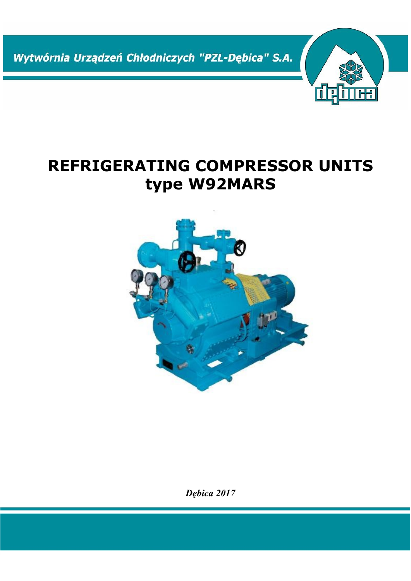Wytwórnia Urządzeń Chłodniczych "PZL-Dębica" S.A.

# **REFRIGERATING COMPRESSOR UNITS type W92MARS**

咽

品



*Dębica 2017*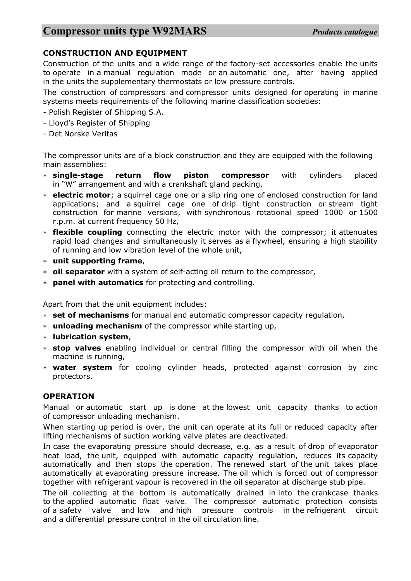#### **CONSTRUCTION AND EQUIPMENT**

Construction of the units and a wide range of the factory-set accessories enable the units to operate in a manual regulation mode or an automatic one, after having applied in the units the supplementary thermostats or low pressure controls.

The construction of compressors and compressor units designed for operating in marine systems meets requirements of the following marine classification societies:

- Polish Register of Shipping S.A.
- Lloyd's Register of Shipping
- Det Norske Veritas

The compressor units are of a block construction and they are equipped with the following main assemblies:

- **single-stage return flow piston compressor** with cylinders placed in "W" arrangement and with a crankshaft gland packing,
- **electric motor**; a squirrel cage one or a slip ring one of enclosed construction for land applications; and a squirrel cage one of drip tight construction or stream tight construction for marine versions, with synchronous rotational speed 1000 or 1500 r.p.m. at current frequency 50 Hz,
- **flexible coupling** connecting the electric motor with the compressor; it attenuates rapid load changes and simultaneously it serves as a flywheel, ensuring a high stability of running and low vibration level of the whole unit,
- **unit supporting frame**,
- **oil separator** with a system of self-acting oil return to the compressor,
- **panel with automatics** for protecting and controlling.

Apart from that the unit equipment includes:

- **set of mechanisms** for manual and automatic compressor capacity regulation,
- **unloading mechanism** of the compressor while starting up,
- **lubrication system**,
- **stop valves** enabling individual or central filling the compressor with oil when the machine is running,
- **water system** for cooling cylinder heads, protected against corrosion by zinc protectors.

#### **OPERATION**

Manual or automatic start up is done at the lowest unit capacity thanks to action of compressor unloading mechanism.

When starting up period is over, the unit can operate at its full or reduced capacity after lifting mechanisms of suction working valve plates are deactivated.

In case the evaporating pressure should decrease, e.g. as a result of drop of evaporator heat load, the unit, equipped with automatic capacity regulation, reduces its capacity automatically and then stops the operation. The renewed start of the unit takes place automatically at evaporating pressure increase. The oil which is forced out of compressor together with refrigerant vapour is recovered in the oil separator at discharge stub pipe.

The oil collecting at the bottom is automatically drained in into the crankcase thanks to the applied automatic float valve. The compressor automatic protection consists of a safety valve and low and high pressure controls in the refrigerant circuit and a differential pressure control in the oil circulation line.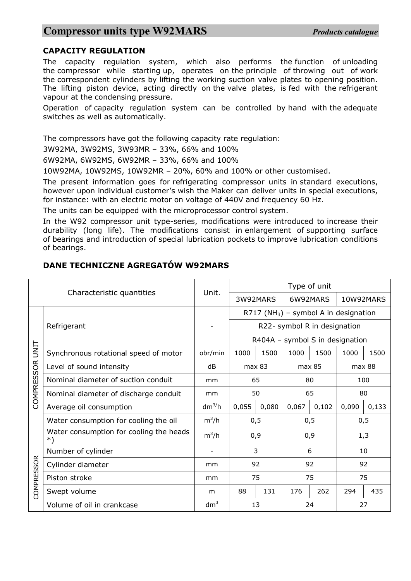#### **CAPACITY REGULATION**

The capacity regulation system, which also performs the function of unloading the compressor while starting up, operates on the principle of throwing out of work the correspondent cylinders by lifting the working suction valve plates to opening position. The lifting piston device, acting directly on the valve plates, is fed with the refrigerant vapour at the condensing pressure.

Operation of capacity regulation system can be controlled by hand with the adequate switches as well as automatically.

The compressors have got the following capacity rate regulation:

3W92MA, 3W92MS, 3W93MR – 33%, 66% and 100%

6W92MA, 6W92MS, 6W92MR – 33%, 66% and 100%

10W92MA, 10W92MS, 10W92MR – 20%, 60% and 100% or other customised.

The present information goes for refrigerating compressor units in standard executions, however upon individual customer's wish the Maker can deliver units in special executions, for instance: with an electric motor on voltage of 440V and frequency 60 Hz.

The units can be equipped with the microprocessor control system.

In the W92 compressor unit type-series, modifications were introduced to increase their durability (long life). The modifications consist in enlargement of supporting surface of bearings and introduction of special lubrication pockets to improve lubrication conditions of bearings.

#### **DANE TECHNICZNE AGREGATÓW W92MARS**

|                               |                                               |                 | Type of unit                                      |                  |          |        |           |       |
|-------------------------------|-----------------------------------------------|-----------------|---------------------------------------------------|------------------|----------|--------|-----------|-------|
|                               | Characteristic quantities                     | Unit.           | 3W92MARS                                          |                  | 6W92MARS |        | 10W92MARS |       |
| UNIT<br><b>SOR</b><br>COMPRES | Refrigerant                                   |                 | R717 (NH <sub>3</sub> ) – symbol A in designation |                  |          |        |           |       |
|                               |                                               |                 | R22- symbol R in designation                      |                  |          |        |           |       |
|                               |                                               |                 | R404A - symbol S in designation                   |                  |          |        |           |       |
|                               | Synchronous rotational speed of motor         | obr/min         | 1000                                              | 1500             | 1000     | 1500   | 1000      | 1500  |
|                               | Level of sound intensity                      | dB              |                                                   | max 83<br>max 85 |          | max 88 |           |       |
|                               | Nominal diameter of suction conduit           | mm              | 65                                                |                  | 80       |        | 100       |       |
|                               | Nominal diameter of discharge conduit         | mm              | 50                                                |                  | 65       |        | 80        |       |
|                               | Average oil consumption                       | $dm^{3}/h$      | 0,055                                             | 0,080            | 0,067    | 0,102  | 0,090     | 0,133 |
|                               | Water consumption for cooling the oil         | $m^3/h$         | 0,5                                               |                  | 0, 5     |        | 0, 5      |       |
|                               | Water consumption for cooling the heads<br>*) | $m^3/h$         | 0,9                                               |                  | 0,9      |        | 1,3       |       |
| <b>COMPRESSOR</b>             | Number of cylinder                            |                 | 3                                                 |                  | 6        |        | 10        |       |
|                               | Cylinder diameter                             | mm              | 92                                                |                  | 92       |        | 92        |       |
|                               | Piston stroke                                 | mm              | 75                                                |                  | 75       |        | 75        |       |
|                               | Swept volume                                  | m               | 88                                                | 131              | 176      | 262    | 294       | 435   |
|                               | Volume of oil in crankcase                    | dm <sup>3</sup> | 13                                                |                  | 24       |        | 27        |       |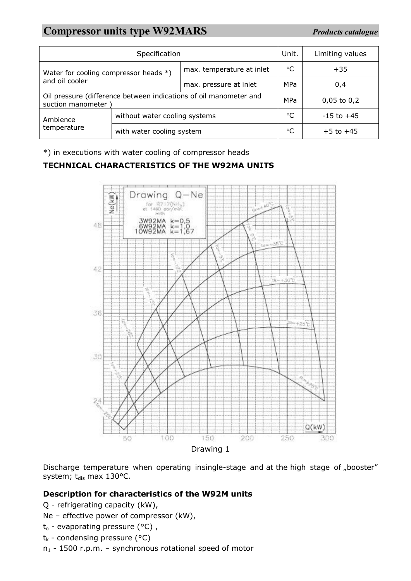# **Compressor units type W92MARS** *Products catalogue*

|                                                                                        | Unit.                         | Limiting values           |             |                |  |
|----------------------------------------------------------------------------------------|-------------------------------|---------------------------|-------------|----------------|--|
| Water for cooling compressor heads *)                                                  |                               | max. temperature at inlet | $^{\circ}C$ | $+35$          |  |
| and oil cooler                                                                         |                               | max. pressure at inlet    | <b>MPa</b>  | 0,4            |  |
| Oil pressure (difference between indications of oil manometer and<br>suction manometer | <b>MPa</b>                    | $0,05$ to $0,2$           |             |                |  |
| Ambience                                                                               | without water cooling systems |                           | °C          | $-15$ to $+45$ |  |
| temperature                                                                            | with water cooling system     |                           |             | $+5$ to $+45$  |  |

\*) in executions with water cooling of compressor heads

#### **TECHNICAL CHARACTERISTICS OF THE W92MA UNITS**



Discharge temperature when operating insingle-stage and at the high stage of "booster" system; t<sub>dis</sub> max 130°C.

#### **Description for characteristics of the W92M units**

- Q refrigerating capacity (kW),
- Ne effective power of compressor (kW),
- $t_0$  evaporating pressure (°C),
- $t_k$  condensing pressure (°C)
- $n_1$  1500 r.p.m. synchronous rotational speed of motor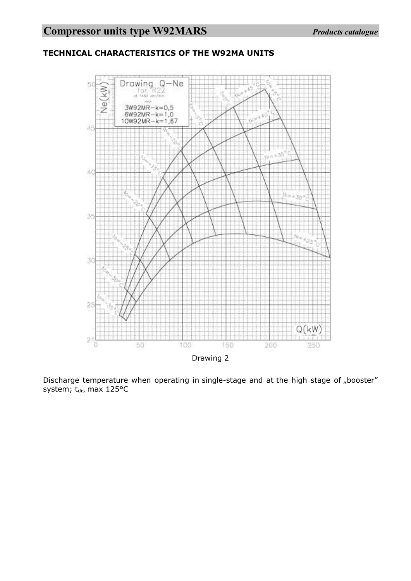

### **TECHNICAL CHARACTERISTICS OF THE W92MA UNITS**

Discharge temperature when operating in single-stage and at the high stage of "booster" system;  $t_{dis}$  max 125°C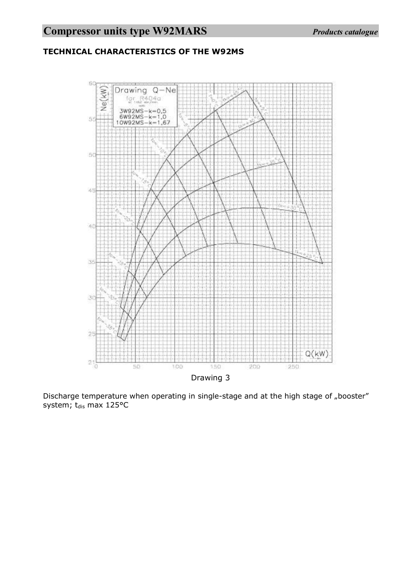# **TECHNICAL CHARACTERISTICS OF THE W92MS**



Discharge temperature when operating in single-stage and at the high stage of "booster" system;  $t_{dis}$  max 125°C